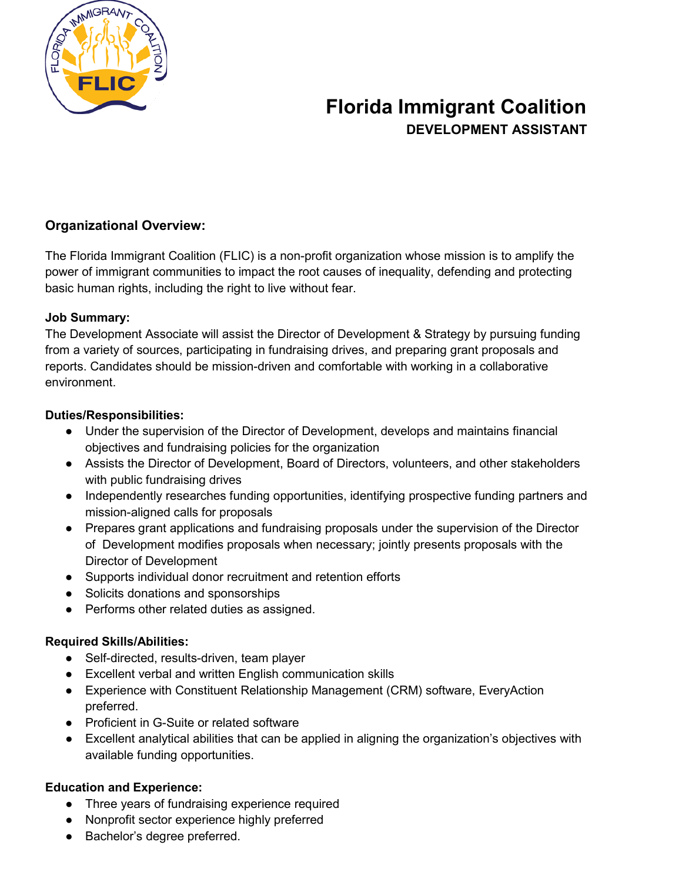

## **Florida Immigrant Coalition DEVELOPMENT ASSISTANT**

### **Organizational Overview:**

The Florida Immigrant Coalition (FLIC) is a non-profit organization whose mission is to amplify the power of immigrant communities to impact the root causes of inequality, defending and protecting basic human rights, including the right to live without fear.

#### **Job Summary:**

The Development Associate will assist the Director of Development & Strategy by pursuing funding from a variety of sources, participating in fundraising drives, and preparing grant proposals and reports. Candidates should be mission-driven and comfortable with working in a collaborative environment.

#### **Duties/Responsibilities:**

- Under the supervision of the Director of Development, develops and maintains financial objectives and fundraising policies for the organization
- Assists the Director of Development, Board of Directors, volunteers, and other stakeholders with public fundraising drives
- Independently researches funding opportunities, identifying prospective funding partners and mission-aligned calls for proposals
- Prepares grant applications and fundraising proposals under the supervision of the Director of Development modifies proposals when necessary; jointly presents proposals with the Director of Development
- Supports individual donor recruitment and retention efforts
- Solicits donations and sponsorships
- Performs other related duties as assigned.

### **Required Skills/Abilities:**

- Self-directed, results-driven, team player
- Excellent verbal and written English communication skills
- Experience with Constituent Relationship Management (CRM) software, EveryAction preferred.
- Proficient in G-Suite or related software
- Excellent analytical abilities that can be applied in aligning the organization's objectives with available funding opportunities.

### **Education and Experience:**

- Three years of fundraising experience required
- Nonprofit sector experience highly preferred
- Bachelor's degree preferred.